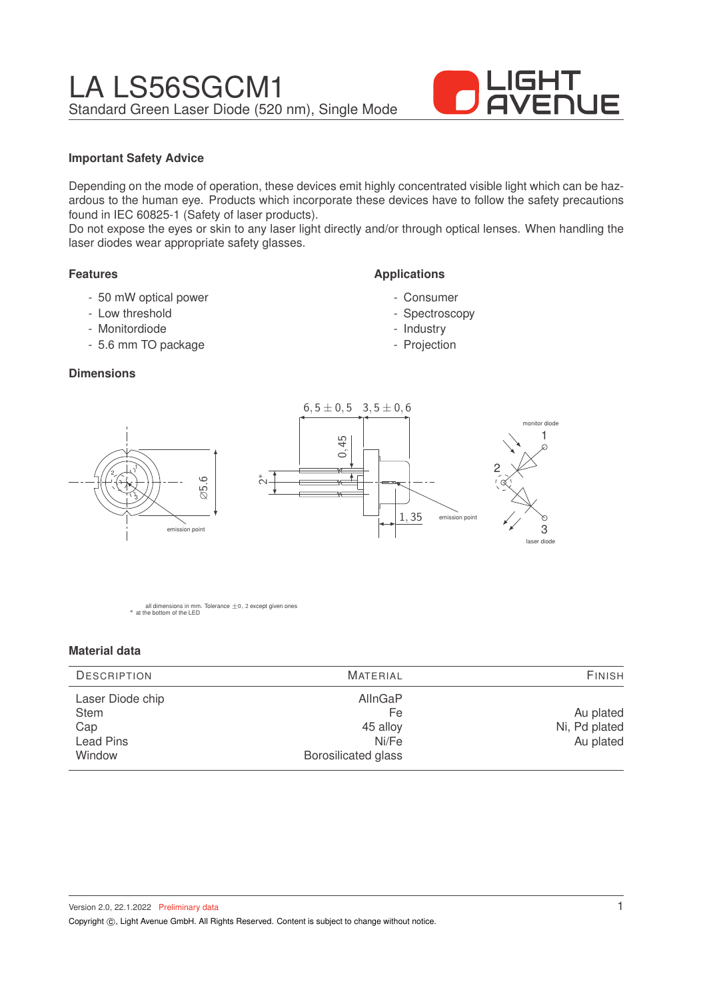

## **Important Safety Advice**

Depending on the mode of operation, these devices emit highly concentrated visible light which can be hazardous to the human eye. Products which incorporate these devices have to follow the safety precautions found in IEC 60825-1 (Safety of laser products).

Do not expose the eyes or skin to any laser light directly and/or through optical lenses. When handling the laser diodes wear appropriate safety glasses.

## **Features**

- 50 mW optical power
- Low threshold
- Monitordiode

1

3

2

- 5.6 mm TO package

## **Dimensions**



**Applications**

- Consumer - Spectroscopy - Industry - Projection

all dimensions in mm. Tolerance  $\pm$ 0, 2 except given ones \* at the bottom of the LED

∅5.6

emission point

#### **Material data**

| <b>DESCRIPTION</b>                                            | <b>MATERIAL</b>                                                  | <b>FINISH</b>                           |  |
|---------------------------------------------------------------|------------------------------------------------------------------|-----------------------------------------|--|
| Laser Diode chip<br><b>Stem</b><br>Cap<br>Lead Pins<br>Window | AllnGaP<br>Fe<br>45 alloy<br>Ni/Fe<br><b>Borosilicated glass</b> | Au plated<br>Ni, Pd plated<br>Au plated |  |

Version 2.0, 22.1.2022 Preliminary data Copyright ©, Light Avenue GmbH. All Rights Reserved. Content is subject to change without notice.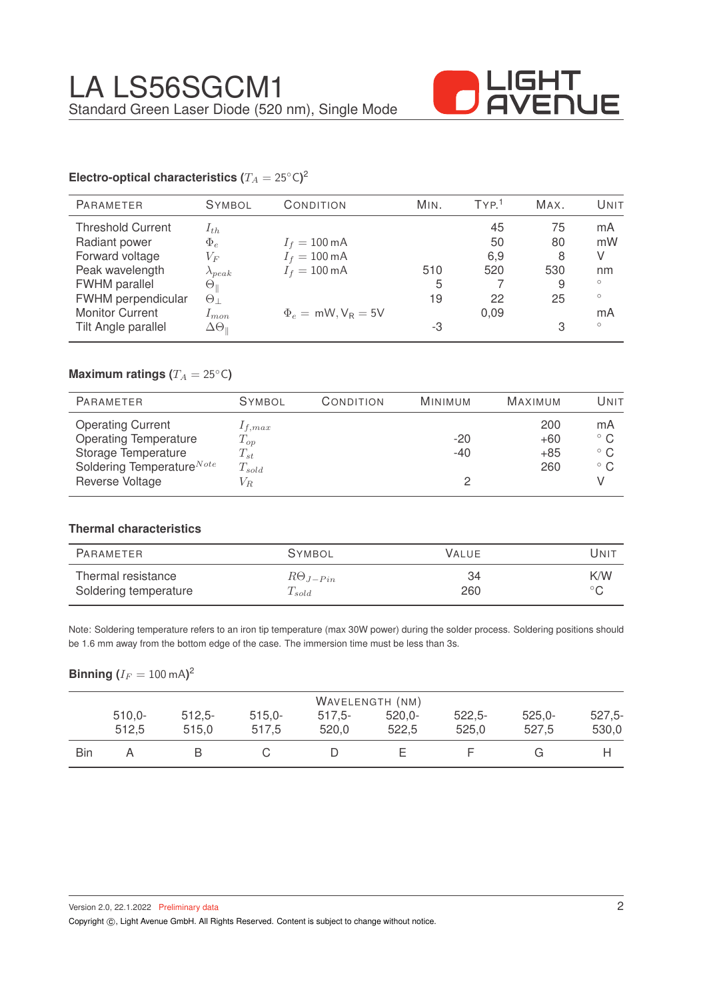

# **Electro-optical characteristics (** $T_A = 25°C$ **)<sup>2</sup>**

| <b>PARAMETER</b>         | <b>SYMBOL</b>              | CONDITION                  | MIN. | TYP <sup>1</sup> | MAX. | UNIT    |
|--------------------------|----------------------------|----------------------------|------|------------------|------|---------|
| <b>Threshold Current</b> | $I_{th}$                   |                            |      | 45               | 75   | mA      |
| Radiant power            | $\Phi_e$                   | $I_f = 100 \,\text{mA}$    |      | 50               | 80   | mW      |
| Forward voltage          | $V_{F}$                    | $I_f = 100 \,\text{mA}$    |      | 6,9              | 8    | V       |
| Peak wavelength          | $\lambda_{peak}$           | $I_f = 100 \text{ mA}$     | 510  | 520              | 530  | nm      |
| FWHM parallel            | $\Theta_\parallel$         |                            | 5    |                  | 9    | $\circ$ |
| FWHM perpendicular       | $\Theta_{\perp}$           |                            | 19   | 22               | 25   | $\circ$ |
| <b>Monitor Current</b>   | $1_{mon}$                  | $\Phi_e = mW$ , $V_R = 5V$ |      | 0.09             |      | mA      |
| Tilt Angle parallel      | $\Delta\Theta_{\parallel}$ |                            | -3   |                  | 3    | $\circ$ |

# **Maximum ratings (** $T_A = 25$ °C)

| <b>PARAMETER</b>                                                                                                         | <b>SYMBOL</b>                                     | CONDITION | <b>MINIMUM</b> | <b>MAXIMUM</b>               | UNIT                                               |
|--------------------------------------------------------------------------------------------------------------------------|---------------------------------------------------|-----------|----------------|------------------------------|----------------------------------------------------|
| <b>Operating Current</b><br><b>Operating Temperature</b><br>Storage Temperature<br>Soldering Temperature <sup>Note</sup> | $1_{f,max}$<br>$T_{op}$<br>$T_{st}$<br>$T_{sold}$ |           | $-20$<br>$-40$ | 200<br>$+60$<br>$+85$<br>260 | mA<br>$^{\circ}$ C<br>$^{\circ}$ C<br>$^{\circ}$ C |
| Reverse Voltage                                                                                                          | $V_R$                                             |           |                |                              |                                                    |

## **Thermal characteristics**

| PARAMETER             | <b>SYMBOL</b>     | <b>VALUE</b> | UNIT           |
|-----------------------|-------------------|--------------|----------------|
| Thermal resistance    | $R\Theta_{J-Pin}$ | 34           | K/W            |
| Soldering temperature | $T_{sold}$        | 260          | $\circ$ $\cap$ |

Note: Soldering temperature refers to an iron tip temperature (max 30W power) during the solder process. Soldering positions should be 1.6 mm away from the bottom edge of the case. The immersion time must be less than 3s.

## $\mathsf{Binning\ } (I_F = 100 \ \mathrm{mA} )^2$

|     | WAVELENGTH (NM) |          |          |          |           |          |           |          |
|-----|-----------------|----------|----------|----------|-----------|----------|-----------|----------|
|     | $510,0-$        | $512,5-$ | $515,0-$ | $517.5-$ | $520.0 -$ | $522,5-$ | $525.0 -$ | $527,5-$ |
|     | 512,5           | 515.0    | 517.5    | 520,0    | 522.5     | 525,0    | 527.5     | 530,0    |
| Bin |                 |          |          |          |           |          |           |          |

Version 2.0, 22.1.2022 Preliminary data

Copyright ©, Light Avenue GmbH. All Rights Reserved. Content is subject to change without notice.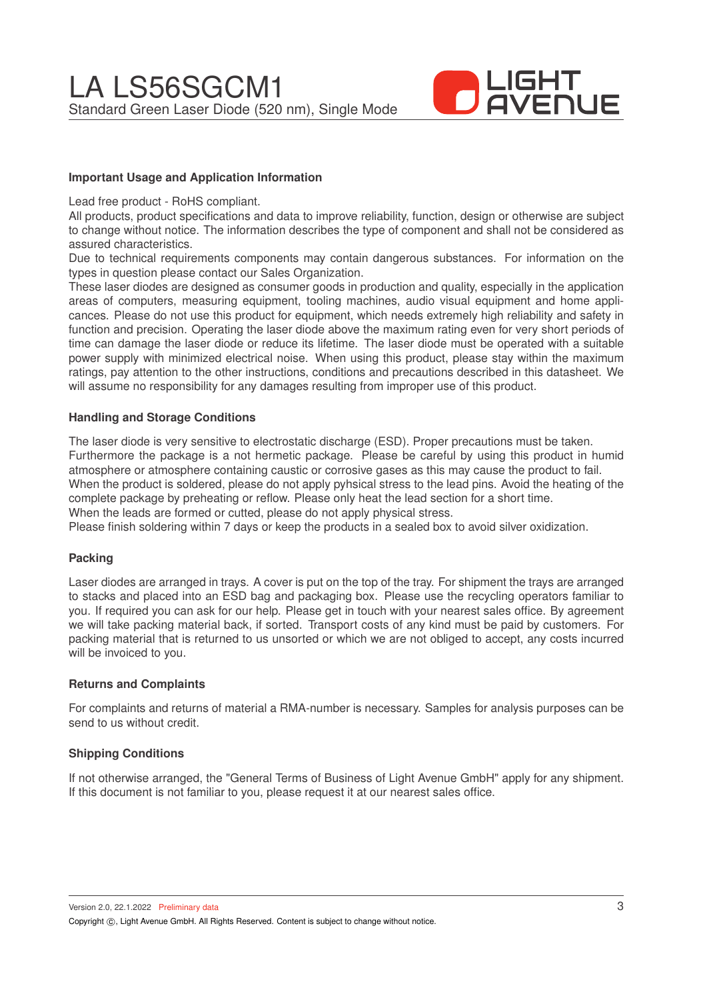

## **Important Usage and Application Information**

Lead free product - RoHS compliant.

All products, product specifications and data to improve reliability, function, design or otherwise are subject to change without notice. The information describes the type of component and shall not be considered as assured characteristics.

Due to technical requirements components may contain dangerous substances. For information on the types in question please contact our Sales Organization.

These laser diodes are designed as consumer goods in production and quality, especially in the application areas of computers, measuring equipment, tooling machines, audio visual equipment and home applicances. Please do not use this product for equipment, which needs extremely high reliability and safety in function and precision. Operating the laser diode above the maximum rating even for very short periods of time can damage the laser diode or reduce its lifetime. The laser diode must be operated with a suitable power supply with minimized electrical noise. When using this product, please stay within the maximum ratings, pay attention to the other instructions, conditions and precautions described in this datasheet. We will assume no responsibility for any damages resulting from improper use of this product.

### **Handling and Storage Conditions**

The laser diode is very sensitive to electrostatic discharge (ESD). Proper precautions must be taken. Furthermore the package is a not hermetic package. Please be careful by using this product in humid atmosphere or atmosphere containing caustic or corrosive gases as this may cause the product to fail. When the product is soldered, please do not apply pyhsical stress to the lead pins. Avoid the heating of the complete package by preheating or reflow. Please only heat the lead section for a short time. When the leads are formed or cutted, please do not apply physical stress.

Please finish soldering within 7 days or keep the products in a sealed box to avoid silver oxidization.

### **Packing**

Laser diodes are arranged in trays. A cover is put on the top of the tray. For shipment the trays are arranged to stacks and placed into an ESD bag and packaging box. Please use the recycling operators familiar to you. If required you can ask for our help. Please get in touch with your nearest sales office. By agreement we will take packing material back, if sorted. Transport costs of any kind must be paid by customers. For packing material that is returned to us unsorted or which we are not obliged to accept, any costs incurred will be invoiced to you.

### **Returns and Complaints**

For complaints and returns of material a RMA-number is necessary. Samples for analysis purposes can be send to us without credit.

### **Shipping Conditions**

If not otherwise arranged, the "General Terms of Business of Light Avenue GmbH" apply for any shipment. If this document is not familiar to you, please request it at our nearest sales office.

Version 2.0, 22.1.2022 Preliminary data Copyright (C), Light Avenue GmbH. All Rights Reserved. Content is subject to change without notice.